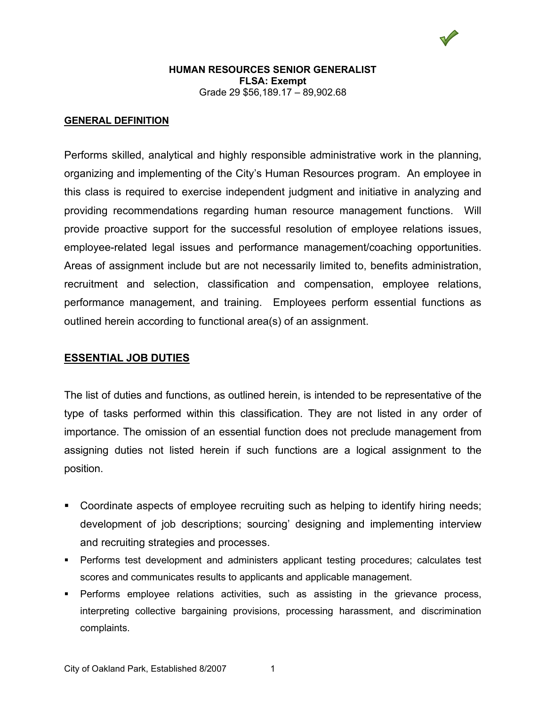#### **HUMAN RESOURCES SENIOR GENERALIST FLSA: Exempt** Grade 29 \$56,189.17 – 89,902.68

#### **GENERAL DEFINITION**

Performs skilled, analytical and highly responsible administrative work in the planning, organizing and implementing of the City's Human Resources program. An employee in this class is required to exercise independent judgment and initiative in analyzing and providing recommendations regarding human resource management functions. Will provide proactive support for the successful resolution of employee relations issues, employee-related legal issues and performance management/coaching opportunities. Areas of assignment include but are not necessarily limited to, benefits administration, recruitment and selection, classification and compensation, employee relations, performance management, and training. Employees perform essential functions as outlined herein according to functional area(s) of an assignment.

## **ESSENTIAL JOB DUTIES**

The list of duties and functions, as outlined herein, is intended to be representative of the type of tasks performed within this classification. They are not listed in any order of importance. The omission of an essential function does not preclude management from assigning duties not listed herein if such functions are a logical assignment to the position.

- Coordinate aspects of employee recruiting such as helping to identify hiring needs; development of job descriptions; sourcing' designing and implementing interview and recruiting strategies and processes.
- Performs test development and administers applicant testing procedures; calculates test scores and communicates results to applicants and applicable management.
- Performs employee relations activities, such as assisting in the grievance process, interpreting collective bargaining provisions, processing harassment, and discrimination complaints.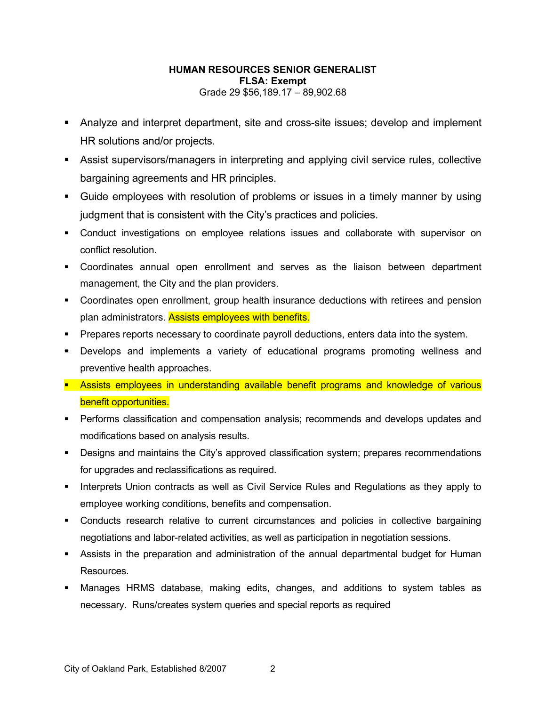#### **HUMAN RESOURCES SENIOR GENERALIST FLSA: Exempt** Grade 29 \$56,189.17 – 89,902.68

- Analyze and interpret department, site and cross-site issues; develop and implement HR solutions and/or projects.
- Assist supervisors/managers in interpreting and applying civil service rules, collective bargaining agreements and HR principles.
- Guide employees with resolution of problems or issues in a timely manner by using judgment that is consistent with the City's practices and policies.
- Conduct investigations on employee relations issues and collaborate with supervisor on conflict resolution.
- Coordinates annual open enrollment and serves as the liaison between department management, the City and the plan providers.
- Coordinates open enrollment, group health insurance deductions with retirees and pension plan administrators. Assists employees with benefits.
- **Prepares reports necessary to coordinate payroll deductions, enters data into the system.**
- Develops and implements a variety of educational programs promoting wellness and preventive health approaches.
- **Assists employees in understanding available benefit programs and knowledge of various** benefit opportunities.
- **Performs classification and compensation analysis; recommends and develops updates and** modifications based on analysis results.
- Designs and maintains the City's approved classification system; prepares recommendations for upgrades and reclassifications as required.
- **Interprets Union contracts as well as Civil Service Rules and Regulations as they apply to** employee working conditions, benefits and compensation.
- Conducts research relative to current circumstances and policies in collective bargaining negotiations and labor-related activities, as well as participation in negotiation sessions.
- Assists in the preparation and administration of the annual departmental budget for Human **Resources**
- Manages HRMS database, making edits, changes, and additions to system tables as necessary. Runs/creates system queries and special reports as required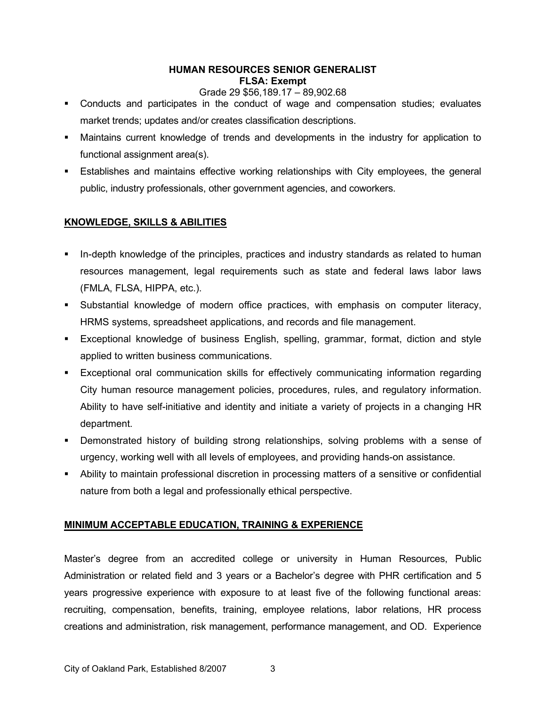## **HUMAN RESOURCES SENIOR GENERALIST FLSA: Exempt**

#### Grade 29 \$56,189.17 – 89,902.68

- Conducts and participates in the conduct of wage and compensation studies; evaluates market trends; updates and/or creates classification descriptions.
- Maintains current knowledge of trends and developments in the industry for application to functional assignment area(s).
- Establishes and maintains effective working relationships with City employees, the general public, industry professionals, other government agencies, and coworkers.

# **KNOWLEDGE, SKILLS & ABILITIES**

- In-depth knowledge of the principles, practices and industry standards as related to human resources management, legal requirements such as state and federal laws labor laws (FMLA, FLSA, HIPPA, etc.).
- Substantial knowledge of modern office practices, with emphasis on computer literacy, HRMS systems, spreadsheet applications, and records and file management.
- Exceptional knowledge of business English, spelling, grammar, format, diction and style applied to written business communications.
- Exceptional oral communication skills for effectively communicating information regarding City human resource management policies, procedures, rules, and regulatory information. Ability to have self-initiative and identity and initiate a variety of projects in a changing HR department.
- Demonstrated history of building strong relationships, solving problems with a sense of urgency, working well with all levels of employees, and providing hands-on assistance.
- Ability to maintain professional discretion in processing matters of a sensitive or confidential nature from both a legal and professionally ethical perspective.

# **MINIMUM ACCEPTABLE EDUCATION, TRAINING & EXPERIENCE**

Master's degree from an accredited college or university in Human Resources, Public Administration or related field and 3 years or a Bachelor's degree with PHR certification and 5 years progressive experience with exposure to at least five of the following functional areas: recruiting, compensation, benefits, training, employee relations, labor relations, HR process creations and administration, risk management, performance management, and OD. Experience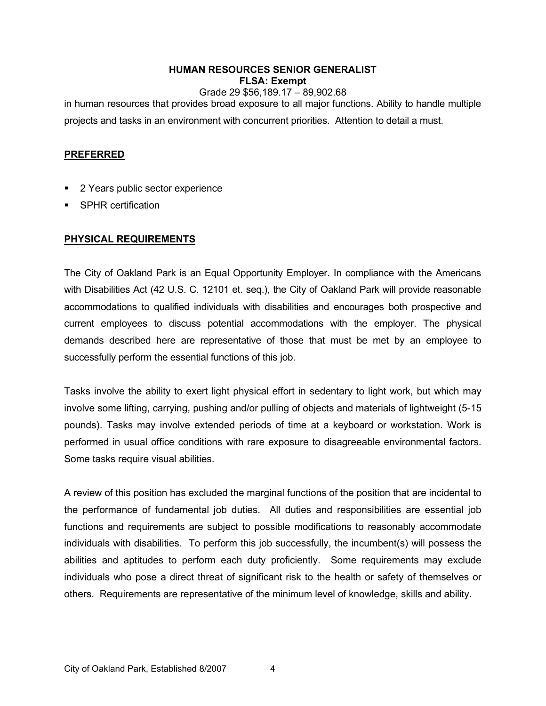## **HUMAN RESOURCES SENIOR GENERALIST FLSA: Exempt**

Grade 29 \$56,189.17 – 89,902.68 in human resources that provides broad exposure to all major functions. Ability to handle multiple projects and tasks in an environment with concurrent priorities. Attention to detail a must.

# **PREFERRED**

- **2 Years public sector experience**
- SPHR certification

# **PHYSICAL REQUIREMENTS**

The City of Oakland Park is an Equal Opportunity Employer. In compliance with the Americans with Disabilities Act (42 U.S. C. 12101 et. seq.), the City of Oakland Park will provide reasonable accommodations to qualified individuals with disabilities and encourages both prospective and current employees to discuss potential accommodations with the employer. The physical demands described here are representative of those that must be met by an employee to successfully perform the essential functions of this job.

Tasks involve the ability to exert light physical effort in sedentary to light work, but which may involve some lifting, carrying, pushing and/or pulling of objects and materials of lightweight (5-15 pounds). Tasks may involve extended periods of time at a keyboard or workstation. Work is performed in usual office conditions with rare exposure to disagreeable environmental factors. Some tasks require visual abilities.

A review of this position has excluded the marginal functions of the position that are incidental to the performance of fundamental job duties. All duties and responsibilities are essential job functions and requirements are subject to possible modifications to reasonably accommodate individuals with disabilities. To perform this job successfully, the incumbent(s) will possess the abilities and aptitudes to perform each duty proficiently. Some requirements may exclude individuals who pose a direct threat of significant risk to the health or safety of themselves or others. Requirements are representative of the minimum level of knowledge, skills and ability.